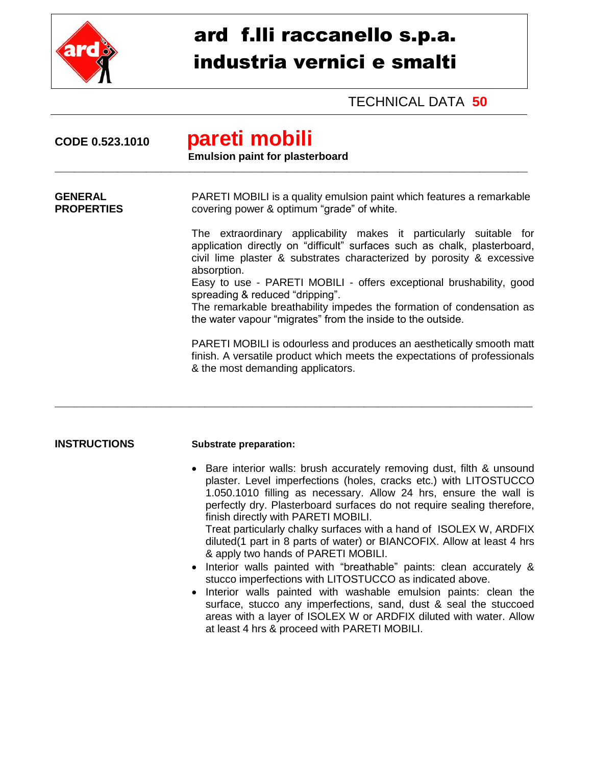

# ard f.lli raccanello s.p.a. industria vernici e smalti

## TECHNICAL DATA **50**

| CODE 0.523.1010                     | pareti mobili<br><b>Emulsion paint for plasterboard</b>                                                                                                                                                                                 |  |
|-------------------------------------|-----------------------------------------------------------------------------------------------------------------------------------------------------------------------------------------------------------------------------------------|--|
| <b>GENERAL</b><br><b>PROPERTIES</b> | PARETI MOBILI is a quality emulsion paint which features a remarkable<br>covering power & optimum "grade" of white.                                                                                                                     |  |
|                                     | The extraordinary applicability makes it particularly suitable for<br>application directly on "difficult" surfaces such as chalk, plasterboard,<br>civil lime plaster & substrates characterized by porosity & excessive<br>absorption. |  |
|                                     | Easy to use - PARETI MOBILI - offers exceptional brushability, good<br>spreading & reduced "dripping".<br>The remarkable breathability impedes the formation of condensation as                                                         |  |
|                                     | the water vapour "migrates" from the inside to the outside.                                                                                                                                                                             |  |
|                                     | PARETI MOBILI is odourless and produces an aesthetically smooth matt<br>finish. A versatile product which meets the expectations of professionals<br>& the most demanding applicators.                                                  |  |
|                                     |                                                                                                                                                                                                                                         |  |

#### **INSTRUCTIONS Substrate preparation:**

• Bare interior walls: brush accurately removing dust, filth & unsound plaster. Level imperfections (holes, cracks etc.) with LITOSTUCCO 1.050.1010 filling as necessary. Allow 24 hrs, ensure the wall is perfectly dry. Plasterboard surfaces do not require sealing therefore, finish directly with PARETI MOBILI.

Treat particularly chalky surfaces with a hand of ISOLEX W, ARDFIX diluted(1 part in 8 parts of water) or BIANCOFIX. Allow at least 4 hrs & apply two hands of PARETI MOBILI.

- Interior walls painted with "breathable" paints: clean accurately & stucco imperfections with LITOSTUCCO as indicated above.
- Interior walls painted with washable emulsion paints: clean the surface, stucco any imperfections, sand, dust & seal the stuccoed areas with a layer of ISOLEX W or ARDFIX diluted with water. Allow at least 4 hrs & proceed with PARETI MOBILI.